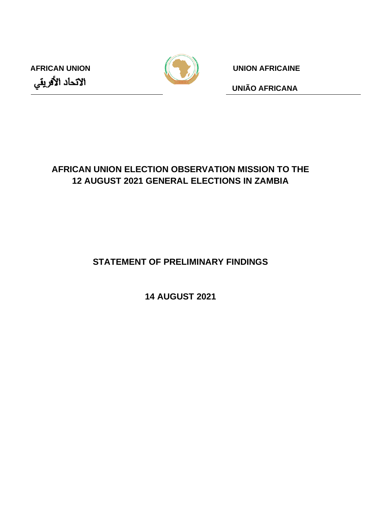



**AFRICAN UNION UNION AFRICAINE**

**UNIÃO AFRICANA**

# **AFRICAN UNION ELECTION OBSERVATION MISSION TO THE 12 AUGUST 2021 GENERAL ELECTIONS IN ZAMBIA**

**STATEMENT OF PRELIMINARY FINDINGS**

**14 AUGUST 2021**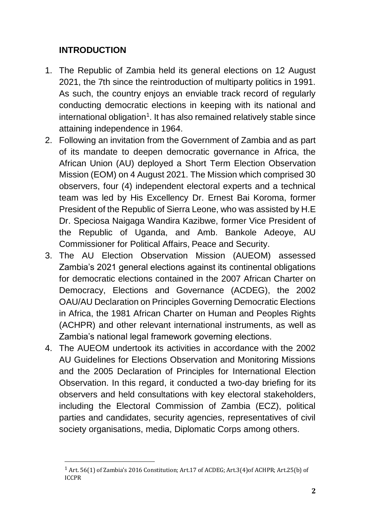# **INTRODUCTION**

- 1. The Republic of Zambia held its general elections on 12 August 2021, the 7th since the reintroduction of multiparty politics in 1991. As such, the country enjoys an enviable track record of regularly conducting democratic elections in keeping with its national and international obligation<sup>1</sup>. It has also remained relatively stable since attaining independence in 1964.
- 2. Following an invitation from the Government of Zambia and as part of its mandate to deepen democratic governance in Africa, the African Union (AU) deployed a Short Term Election Observation Mission (EOM) on 4 August 2021. The Mission which comprised 30 observers, four (4) independent electoral experts and a technical team was led by His Excellency Dr. Ernest Bai Koroma, former President of the Republic of Sierra Leone, who was assisted by H.E Dr. Speciosa Naigaga Wandira Kazibwe, former Vice President of the Republic of Uganda, and Amb. Bankole Adeoye, AU Commissioner for Political Affairs, Peace and Security.
- 3. The AU Election Observation Mission (AUEOM) assessed Zambia's 2021 general elections against its continental obligations for democratic elections contained in the 2007 African Charter on Democracy, Elections and Governance (ACDEG), the 2002 OAU/AU Declaration on Principles Governing Democratic Elections in Africa, the 1981 African Charter on Human and Peoples Rights (ACHPR) and other relevant international instruments, as well as Zambia's national legal framework governing elections.
- 4. The AUEOM undertook its activities in accordance with the 2002 AU Guidelines for Elections Observation and Monitoring Missions and the 2005 Declaration of Principles for International Election Observation. In this regard, it conducted a two-day briefing for its observers and held consultations with key electoral stakeholders, including the Electoral Commission of Zambia (ECZ), political parties and candidates, security agencies, representatives of civil society organisations, media, Diplomatic Corps among others.

<sup>1</sup> Art. 56(1) of Zambia's 2016 Constitution; Art.17 of ACDEG; Art.3(4)of ACHPR; Art.25(b) of ICCPR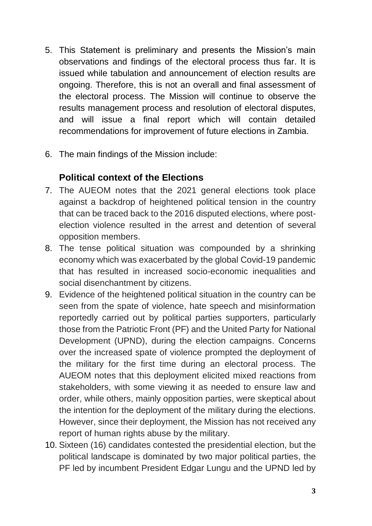- 5. This Statement is preliminary and presents the Mission's main observations and findings of the electoral process thus far. It is issued while tabulation and announcement of election results are ongoing. Therefore, this is not an overall and final assessment of the electoral process. The Mission will continue to observe the results management process and resolution of electoral disputes, and will issue a final report which will contain detailed recommendations for improvement of future elections in Zambia.
- 6. The main findings of the Mission include:

# **Political context of the Elections**

- 7. The AUEOM notes that the 2021 general elections took place against a backdrop of heightened political tension in the country that can be traced back to the 2016 disputed elections, where postelection violence resulted in the arrest and detention of several opposition members.
- 8. The tense political situation was compounded by a shrinking economy which was exacerbated by the global Covid-19 pandemic that has resulted in increased socio-economic inequalities and social disenchantment by citizens.
- 9. Evidence of the heightened political situation in the country can be seen from the spate of violence, hate speech and misinformation reportedly carried out by political parties supporters, particularly those from the Patriotic Front (PF) and the United Party for National Development (UPND), during the election campaigns. Concerns over the increased spate of violence prompted the deployment of the military for the first time during an electoral process. The AUEOM notes that this deployment elicited mixed reactions from stakeholders, with some viewing it as needed to ensure law and order, while others, mainly opposition parties, were skeptical about the intention for the deployment of the military during the elections. However, since their deployment, the Mission has not received any report of human rights abuse by the military.
- 10. Sixteen (16) candidates contested the presidential election, but the political landscape is dominated by two major political parties, the PF led by incumbent President Edgar Lungu and the UPND led by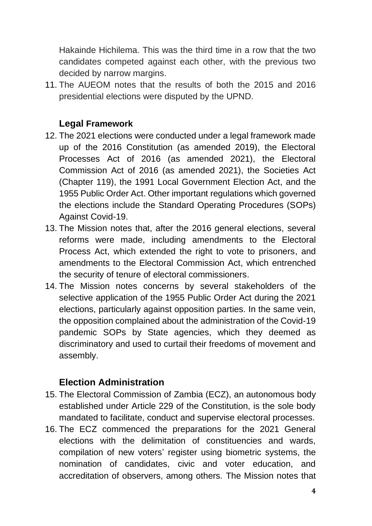Hakainde Hichilema. This was the third time in a row that the two candidates competed against each other, with the previous two decided by narrow margins.

11. The AUEOM notes that the results of both the 2015 and 2016 presidential elections were disputed by the UPND.

### **Legal Framework**

- 12. The 2021 elections were conducted under a legal framework made up of the 2016 Constitution (as amended 2019), the Electoral Processes Act of 2016 (as amended 2021), the Electoral Commission Act of 2016 (as amended 2021), the Societies Act (Chapter 119), the 1991 Local Government Election Act, and the 1955 Public Order Act. Other important regulations which governed the elections include the Standard Operating Procedures (SOPs) Against Covid-19.
- 13. The Mission notes that, after the 2016 general elections, several reforms were made, including amendments to the Electoral Process Act, which extended the right to vote to prisoners, and amendments to the Electoral Commission Act, which entrenched the security of tenure of electoral commissioners.
- 14. The Mission notes concerns by several stakeholders of the selective application of the 1955 Public Order Act during the 2021 elections, particularly against opposition parties. In the same vein, the opposition complained about the administration of the Covid-19 pandemic SOPs by State agencies, which they deemed as discriminatory and used to curtail their freedoms of movement and assembly.

### **Election Administration**

- 15. The Electoral Commission of Zambia (ECZ), an autonomous body established under Article 229 of the Constitution, is the sole body mandated to facilitate, conduct and supervise electoral processes.
- 16. The ECZ commenced the preparations for the 2021 General elections with the delimitation of constituencies and wards, compilation of new voters' register using biometric systems, the nomination of candidates, civic and voter education, and accreditation of observers, among others. The Mission notes that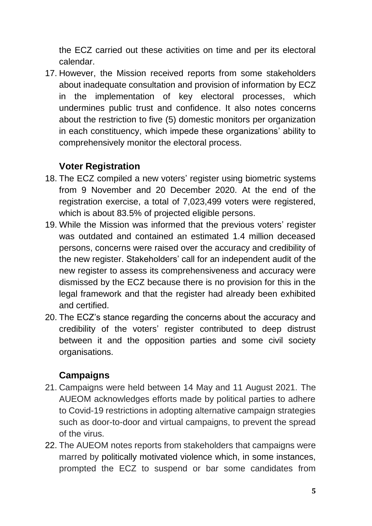the ECZ carried out these activities on time and per its electoral calendar.

17. However, the Mission received reports from some stakeholders about inadequate consultation and provision of information by ECZ in the implementation of key electoral processes, which undermines public trust and confidence. It also notes concerns about the restriction to five (5) domestic monitors per organization in each constituency, which impede these organizations' ability to comprehensively monitor the electoral process.

# **Voter Registration**

- 18. The ECZ compiled a new voters' register using biometric systems from 9 November and 20 December 2020. At the end of the registration exercise, a total of 7,023,499 voters were registered, which is about 83.5% of projected eligible persons.
- 19. While the Mission was informed that the previous voters' register was outdated and contained an estimated 1.4 million deceased persons, concerns were raised over the accuracy and credibility of the new register. Stakeholders' call for an independent audit of the new register to assess its comprehensiveness and accuracy were dismissed by the ECZ because there is no provision for this in the legal framework and that the register had already been exhibited and certified.
- 20. The ECZ's stance regarding the concerns about the accuracy and credibility of the voters' register contributed to deep distrust between it and the opposition parties and some civil society organisations.

# **Campaigns**

- 21. Campaigns were held between 14 May and 11 August 2021. The AUEOM acknowledges efforts made by political parties to adhere to Covid-19 restrictions in adopting alternative campaign strategies such as door-to-door and virtual campaigns, to prevent the spread of the virus.
- 22. The AUEOM notes reports from stakeholders that campaigns were marred by politically motivated violence which, in some instances, prompted the ECZ to suspend or bar some candidates from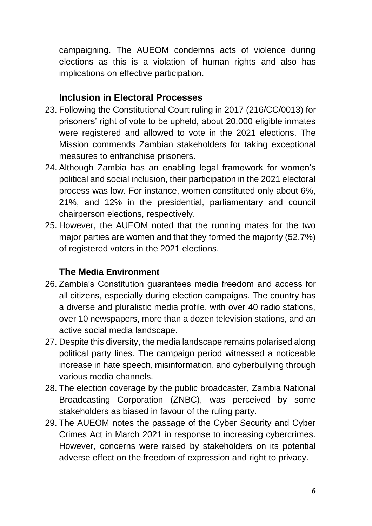campaigning. The AUEOM condemns acts of violence during elections as this is a violation of human rights and also has implications on effective participation.

### **Inclusion in Electoral Processes**

- 23. Following the Constitutional Court ruling in 2017 (216/CC/0013) for prisoners' right of vote to be upheld, about 20,000 eligible inmates were registered and allowed to vote in the 2021 elections. The Mission commends Zambian stakeholders for taking exceptional measures to enfranchise prisoners.
- 24. Although Zambia has an enabling legal framework for women's political and social inclusion, their participation in the 2021 electoral process was low. For instance, women constituted only about 6%, 21%, and 12% in the presidential, parliamentary and council chairperson elections, respectively.
- 25. However, the AUEOM noted that the running mates for the two major parties are women and that they formed the majority (52.7%) of registered voters in the 2021 elections.

### **The Media Environment**

- 26. Zambia's Constitution guarantees media freedom and access for all citizens, especially during election campaigns. The country has a diverse and pluralistic media profile, with over 40 radio stations, over 10 newspapers, more than a dozen television stations, and an active social media landscape.
- 27. Despite this diversity, the media landscape remains polarised along political party lines. The campaign period witnessed a noticeable increase in hate speech, misinformation, and cyberbullying through various media channels.
- 28. The election coverage by the public broadcaster, Zambia National Broadcasting Corporation (ZNBC), was perceived by some stakeholders as biased in favour of the ruling party.
- 29. The AUEOM notes the passage of the Cyber Security and Cyber Crimes Act in March 2021 in response to increasing cybercrimes. However, concerns were raised by stakeholders on its potential adverse effect on the freedom of expression and right to privacy.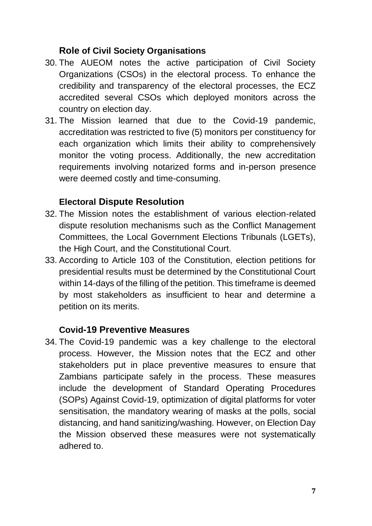### **Role of Civil Society Organisations**

- 30. The AUEOM notes the active participation of Civil Society Organizations (CSOs) in the electoral process. To enhance the credibility and transparency of the electoral processes, the ECZ accredited several CSOs which deployed monitors across the country on election day.
- 31. The Mission learned that due to the Covid-19 pandemic, accreditation was restricted to five (5) monitors per constituency for each organization which limits their ability to comprehensively monitor the voting process. Additionally, the new accreditation requirements involving notarized forms and in-person presence were deemed costly and time-consuming.

# **Electoral Dispute Resolution**

- 32. The Mission notes the establishment of various election-related dispute resolution mechanisms such as the Conflict Management Committees, the Local Government Elections Tribunals (LGETs), the High Court, and the Constitutional Court.
- 33. According to Article 103 of the Constitution, election petitions for presidential results must be determined by the Constitutional Court within 14-days of the filling of the petition. This timeframe is deemed by most stakeholders as insufficient to hear and determine a petition on its merits.

### **Covid-19 Preventive Measures**

34. The Covid-19 pandemic was a key challenge to the electoral process. However, the Mission notes that the ECZ and other stakeholders put in place preventive measures to ensure that Zambians participate safely in the process. These measures include the development of Standard Operating Procedures (SOPs) Against Covid-19, optimization of digital platforms for voter sensitisation, the mandatory wearing of masks at the polls, social distancing, and hand sanitizing/washing. However, on Election Day the Mission observed these measures were not systematically adhered to.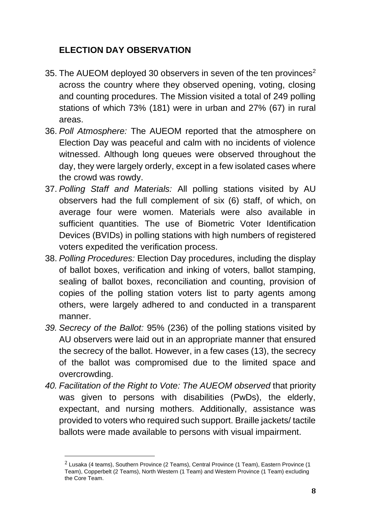# **ELECTION DAY OBSERVATION**

- 35. The AUEOM deployed 30 observers in seven of the ten provinces<sup>2</sup> across the country where they observed opening, voting, closing and counting procedures. The Mission visited a total of 249 polling stations of which 73% (181) were in urban and 27% (67) in rural areas.
- 36. *Poll Atmosphere:* The AUEOM reported that the atmosphere on Election Day was peaceful and calm with no incidents of violence witnessed. Although long queues were observed throughout the day, they were largely orderly, except in a few isolated cases where the crowd was rowdy.
- 37. *Polling Staff and Materials:* All polling stations visited by AU observers had the full complement of six (6) staff, of which, on average four were women. Materials were also available in sufficient quantities. The use of Biometric Voter Identification Devices (BVIDs) in polling stations with high numbers of registered voters expedited the verification process.
- 38. *Polling Procedures:* Election Day procedures, including the display of ballot boxes, verification and inking of voters, ballot stamping, sealing of ballot boxes, reconciliation and counting, provision of copies of the polling station voters list to party agents among others, were largely adhered to and conducted in a transparent manner.
- *39. Secrecy of the Ballot:* 95% (236) of the polling stations visited by AU observers were laid out in an appropriate manner that ensured the secrecy of the ballot. However, in a few cases (13), the secrecy of the ballot was compromised due to the limited space and overcrowding.
- *40. Facilitation of the Right to Vote: The AUEOM observed* that priority was given to persons with disabilities (PwDs), the elderly, expectant, and nursing mothers. Additionally, assistance was provided to voters who required such support. Braille jackets/ tactile ballots were made available to persons with visual impairment.

 $2$  Lusaka (4 teams), Southern Province (2 Teams), Central Province (1 Team), Eastern Province (1 Team), Copperbelt (2 Teams), North Western (1 Team) and Western Province (1 Team) excluding the Core Team.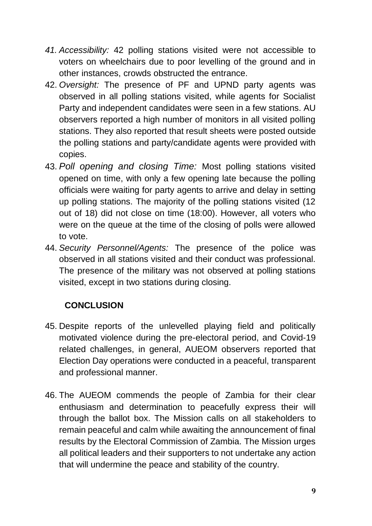- *41. Accessibility:* 42 polling stations visited were not accessible to voters on wheelchairs due to poor levelling of the ground and in other instances, crowds obstructed the entrance.
- 42. *Oversight:* The presence of PF and UPND party agents was observed in all polling stations visited, while agents for Socialist Party and independent candidates were seen in a few stations. AU observers reported a high number of monitors in all visited polling stations. They also reported that result sheets were posted outside the polling stations and party/candidate agents were provided with copies.
- 43. *Poll opening and closing Time:* Most polling stations visited opened on time, with only a few opening late because the polling officials were waiting for party agents to arrive and delay in setting up polling stations. The majority of the polling stations visited (12 out of 18) did not close on time (18:00). However, all voters who were on the queue at the time of the closing of polls were allowed to vote.
- 44. *Security Personnel/Agents:* The presence of the police was observed in all stations visited and their conduct was professional. The presence of the military was not observed at polling stations visited, except in two stations during closing.

# **CONCLUSION**

- 45. Despite reports of the unlevelled playing field and politically motivated violence during the pre-electoral period, and Covid-19 related challenges, in general, AUEOM observers reported that Election Day operations were conducted in a peaceful, transparent and professional manner.
- 46. The AUEOM commends the people of Zambia for their clear enthusiasm and determination to peacefully express their will through the ballot box. The Mission calls on all stakeholders to remain peaceful and calm while awaiting the announcement of final results by the Electoral Commission of Zambia. The Mission urges all political leaders and their supporters to not undertake any action that will undermine the peace and stability of the country.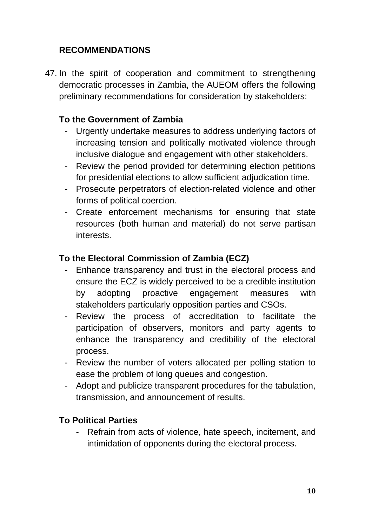## **RECOMMENDATIONS**

47. In the spirit of cooperation and commitment to strengthening democratic processes in Zambia, the AUEOM offers the following preliminary recommendations for consideration by stakeholders:

#### **To the Government of Zambia**

- Urgently undertake measures to address underlying factors of increasing tension and politically motivated violence through inclusive dialogue and engagement with other stakeholders.
- Review the period provided for determining election petitions for presidential elections to allow sufficient adjudication time.
- Prosecute perpetrators of election-related violence and other forms of political coercion.
- Create enforcement mechanisms for ensuring that state resources (both human and material) do not serve partisan interests.

#### **To the Electoral Commission of Zambia (ECZ)**

- Enhance transparency and trust in the electoral process and ensure the ECZ is widely perceived to be a credible institution by adopting proactive engagement measures with stakeholders particularly opposition parties and CSOs.
- Review the process of accreditation to facilitate the participation of observers, monitors and party agents to enhance the transparency and credibility of the electoral process.
- Review the number of voters allocated per polling station to ease the problem of long queues and congestion.
- Adopt and publicize transparent procedures for the tabulation, transmission, and announcement of results.

#### **To Political Parties**

- Refrain from acts of violence, hate speech, incitement, and intimidation of opponents during the electoral process.